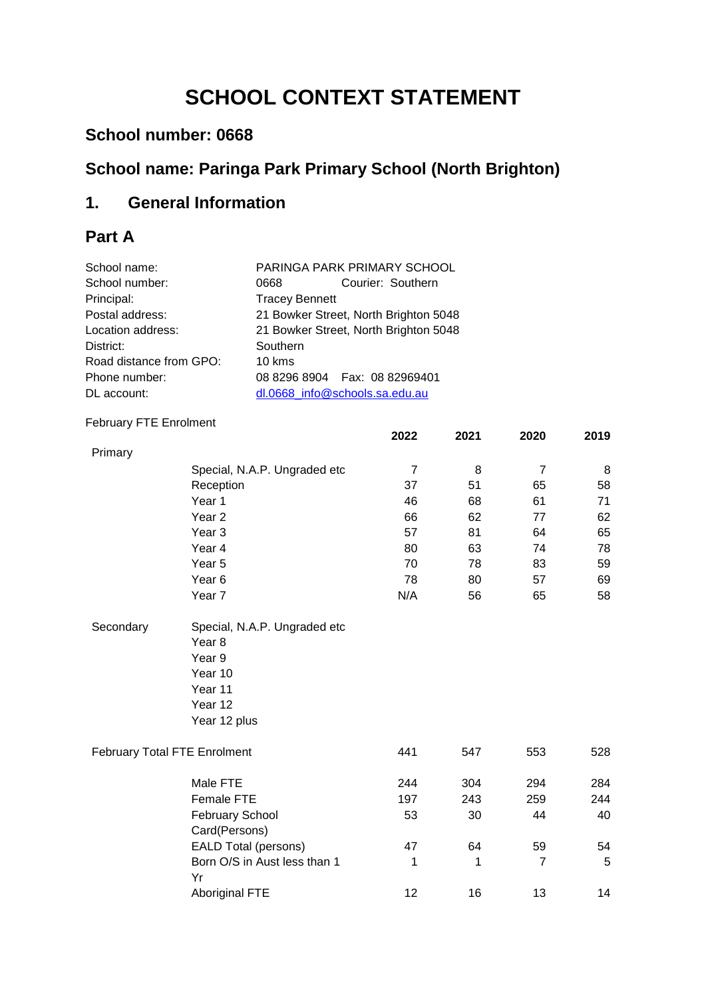# **SCHOOL CONTEXT STATEMENT**

# **School number: 0668**

# **School name: Paringa Park Primary School (North Brighton)**

# **1. General Information**

# **Part A**

| School name:                        |                                       | PARINGA PARK PRIMARY SCHOOL                                                         |                |      |                |      |  |
|-------------------------------------|---------------------------------------|-------------------------------------------------------------------------------------|----------------|------|----------------|------|--|
| School number:                      | 0668                                  | Courier: Southern<br><b>Tracey Bennett</b><br>21 Bowker Street, North Brighton 5048 |                |      |                |      |  |
| Principal:                          |                                       |                                                                                     |                |      |                |      |  |
| Postal address:                     |                                       |                                                                                     |                |      |                |      |  |
| Location address:                   | 21 Bowker Street, North Brighton 5048 |                                                                                     |                |      |                |      |  |
| District:                           |                                       |                                                                                     |                |      |                |      |  |
| Road distance from GPO:             | 10 kms                                |                                                                                     |                |      |                |      |  |
| Phone number:                       | 08 8296 8904                          | Fax: 08 82969401                                                                    |                |      |                |      |  |
| DL account:                         |                                       | dl.0668_info@schools.sa.edu.au                                                      |                |      |                |      |  |
| <b>February FTE Enrolment</b>       |                                       |                                                                                     |                |      |                |      |  |
|                                     |                                       |                                                                                     | 2022           | 2021 | 2020           | 2019 |  |
| Primary                             |                                       |                                                                                     |                |      |                |      |  |
|                                     | Special, N.A.P. Ungraded etc          |                                                                                     | $\overline{7}$ | 8    | $\overline{7}$ | 8    |  |
|                                     | Reception                             |                                                                                     | 37             | 51   | 65             | 58   |  |
|                                     | Year 1                                |                                                                                     | 46             | 68   | 61             | 71   |  |
|                                     | Year <sub>2</sub>                     |                                                                                     | 66             | 62   | 77             | 62   |  |
|                                     | Year <sub>3</sub>                     |                                                                                     | 57             | 81   | 64             | 65   |  |
|                                     | Year 4                                |                                                                                     | 80             | 63   | 74             | 78   |  |
|                                     | Year 5                                |                                                                                     | 70             | 78   | 83             | 59   |  |
|                                     | Year <sub>6</sub>                     |                                                                                     | 78             | 80   | 57             | 69   |  |
|                                     | Year 7                                |                                                                                     | N/A            | 56   | 65             | 58   |  |
| Secondary                           | Special, N.A.P. Ungraded etc          |                                                                                     |                |      |                |      |  |
|                                     | Year <sub>8</sub>                     |                                                                                     |                |      |                |      |  |
|                                     | Year 9                                |                                                                                     |                |      |                |      |  |
|                                     | Year 10                               |                                                                                     |                |      |                |      |  |
|                                     | Year 11                               |                                                                                     |                |      |                |      |  |
|                                     | Year 12                               |                                                                                     |                |      |                |      |  |
|                                     | Year 12 plus                          |                                                                                     |                |      |                |      |  |
| <b>February Total FTE Enrolment</b> |                                       |                                                                                     | 441            | 547  | 553            | 528  |  |
|                                     | Male FTE                              |                                                                                     | 244            | 304  | 294            | 284  |  |
|                                     | Female FTE                            |                                                                                     | 197            | 243  | 259            | 244  |  |
|                                     | <b>February School</b>                |                                                                                     | 53             | 30   | 44             | 40   |  |
|                                     | Card(Persons)                         |                                                                                     |                |      |                |      |  |
|                                     | <b>EALD Total (persons)</b>           |                                                                                     | 47             | 64   | 59             | 54   |  |
|                                     | Born O/S in Aust less than 1<br>Yr    |                                                                                     | 1              | 1    | $\overline{7}$ | 5    |  |
|                                     | <b>Aboriginal FTE</b>                 |                                                                                     | 12             | 16   | 13             | 14   |  |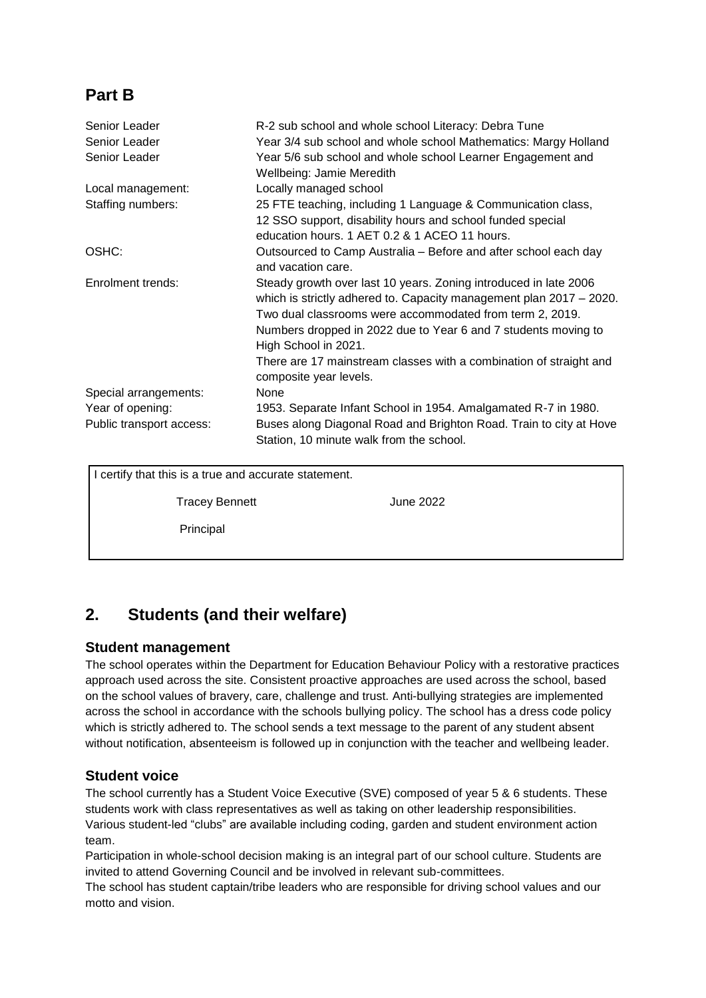# **Part B**

| Senior Leader                                         | R-2 sub school and whole school Literacy: Debra Tune                                                                                                                                                                                                                                                                                                                |
|-------------------------------------------------------|---------------------------------------------------------------------------------------------------------------------------------------------------------------------------------------------------------------------------------------------------------------------------------------------------------------------------------------------------------------------|
| Senior Leader                                         | Year 3/4 sub school and whole school Mathematics: Margy Holland                                                                                                                                                                                                                                                                                                     |
| Senior Leader                                         | Year 5/6 sub school and whole school Learner Engagement and<br>Wellbeing: Jamie Meredith                                                                                                                                                                                                                                                                            |
| Local management:                                     | Locally managed school                                                                                                                                                                                                                                                                                                                                              |
| Staffing numbers:                                     | 25 FTE teaching, including 1 Language & Communication class,<br>12 SSO support, disability hours and school funded special<br>education hours. 1 AET 0.2 & 1 ACEO 11 hours.                                                                                                                                                                                         |
| OSHC:                                                 | Outsourced to Camp Australia - Before and after school each day<br>and vacation care.                                                                                                                                                                                                                                                                               |
| Enrolment trends:                                     | Steady growth over last 10 years. Zoning introduced in late 2006<br>which is strictly adhered to. Capacity management plan 2017 - 2020.<br>Two dual classrooms were accommodated from term 2, 2019.<br>Numbers dropped in 2022 due to Year 6 and 7 students moving to<br>High School in 2021.<br>There are 17 mainstream classes with a combination of straight and |
|                                                       | composite year levels.                                                                                                                                                                                                                                                                                                                                              |
| Special arrangements:                                 | None                                                                                                                                                                                                                                                                                                                                                                |
| Year of opening:                                      | 1953. Separate Infant School in 1954. Amalgamated R-7 in 1980.                                                                                                                                                                                                                                                                                                      |
| Public transport access:                              | Buses along Diagonal Road and Brighton Road. Train to city at Hove<br>Station, 10 minute walk from the school.                                                                                                                                                                                                                                                      |
| I certify that this is a true and accurate statement. |                                                                                                                                                                                                                                                                                                                                                                     |

Tracey Bennett June 2022

Principal

# **2. Students (and their welfare)**

### **Student management**

The school operates within the Department for Education Behaviour Policy with a restorative practices approach used across the site. Consistent proactive approaches are used across the school, based on the school values of bravery, care, challenge and trust. Anti-bullying strategies are implemented across the school in accordance with the schools bullying policy. The school has a dress code policy which is strictly adhered to. The school sends a text message to the parent of any student absent without notification, absenteeism is followed up in conjunction with the teacher and wellbeing leader.

## **Student voice**

The school currently has a Student Voice Executive (SVE) composed of year 5 & 6 students. These students work with class representatives as well as taking on other leadership responsibilities. Various student-led "clubs" are available including coding, garden and student environment action team.

Participation in whole-school decision making is an integral part of our school culture. Students are invited to attend Governing Council and be involved in relevant sub-committees.

The school has student captain/tribe leaders who are responsible for driving school values and our motto and vision.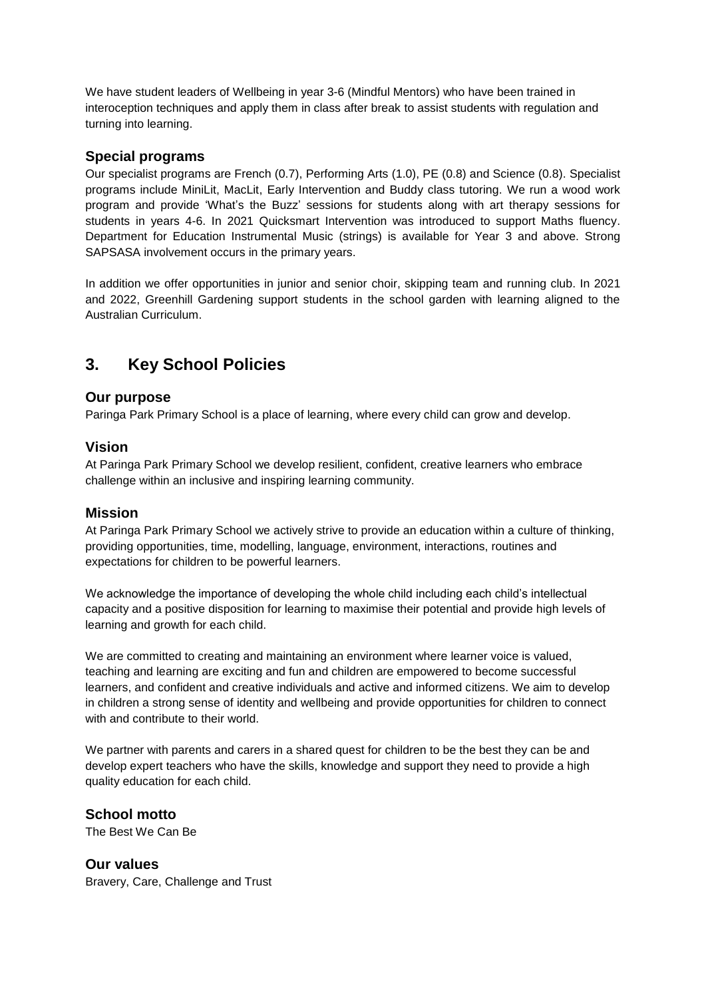We have student leaders of Wellbeing in year 3-6 (Mindful Mentors) who have been trained in interoception techniques and apply them in class after break to assist students with regulation and turning into learning.

#### **Special programs**

Our specialist programs are French (0.7), Performing Arts (1.0), PE (0.8) and Science (0.8). Specialist programs include MiniLit, MacLit, Early Intervention and Buddy class tutoring. We run a wood work program and provide 'What's the Buzz' sessions for students along with art therapy sessions for students in years 4-6. In 2021 Quicksmart Intervention was introduced to support Maths fluency. Department for Education Instrumental Music (strings) is available for Year 3 and above. Strong SAPSASA involvement occurs in the primary years.

In addition we offer opportunities in junior and senior choir, skipping team and running club. In 2021 and 2022, Greenhill Gardening support students in the school garden with learning aligned to the Australian Curriculum.

# **3. Key School Policies**

#### **Our purpose**

Paringa Park Primary School is a place of learning, where every child can grow and develop.

#### **Vision**

At Paringa Park Primary School we develop resilient, confident, creative learners who embrace challenge within an inclusive and inspiring learning community.

#### **Mission**

At Paringa Park Primary School we actively strive to provide an education within a culture of thinking, providing opportunities, time, modelling, language, environment, interactions, routines and expectations for children to be powerful learners.

We acknowledge the importance of developing the whole child including each child's intellectual capacity and a positive disposition for learning to maximise their potential and provide high levels of learning and growth for each child.

We are committed to creating and maintaining an environment where learner voice is valued, teaching and learning are exciting and fun and children are empowered to become successful learners, and confident and creative individuals and active and informed citizens. We aim to develop in children a strong sense of identity and wellbeing and provide opportunities for children to connect with and contribute to their world.

We partner with parents and carers in a shared quest for children to be the best they can be and develop expert teachers who have the skills, knowledge and support they need to provide a high quality education for each child.

#### **School motto**

The Best We Can Be

**Our values** Bravery, Care, Challenge and Trust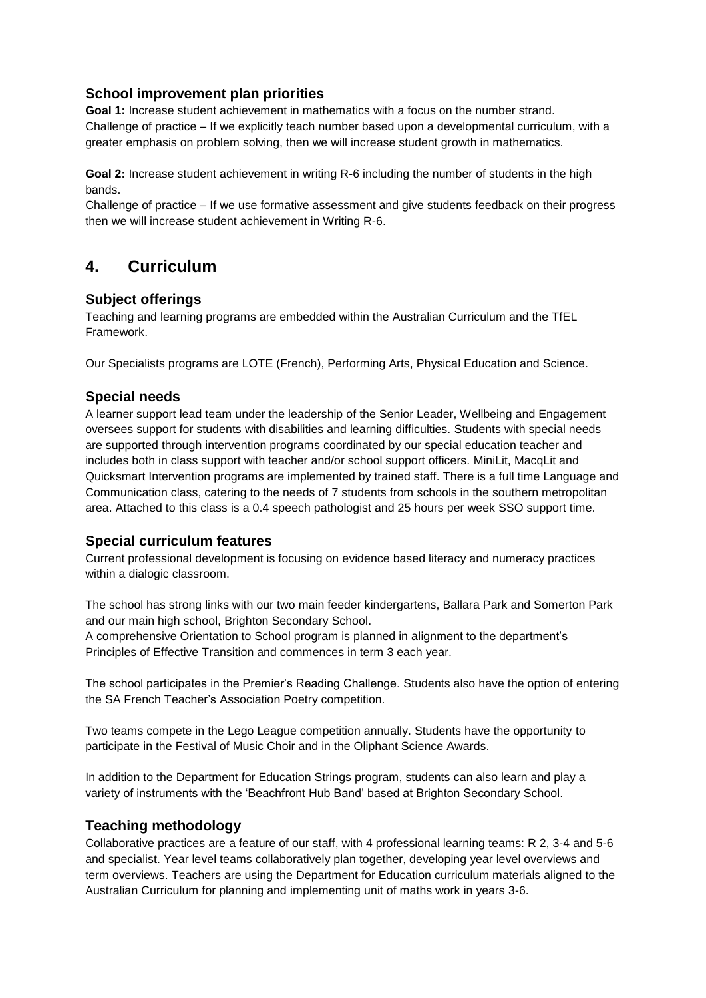### **School improvement plan priorities**

**Goal 1:** Increase student achievement in mathematics with a focus on the number strand. Challenge of practice – If we explicitly teach number based upon a developmental curriculum, with a greater emphasis on problem solving, then we will increase student growth in mathematics.

**Goal 2:** Increase student achievement in writing R-6 including the number of students in the high bands.

Challenge of practice – If we use formative assessment and give students feedback on their progress then we will increase student achievement in Writing R-6.

# **4. Curriculum**

### **Subject offerings**

Teaching and learning programs are embedded within the Australian Curriculum and the TfEL Framework.

Our Specialists programs are LOTE (French), Performing Arts, Physical Education and Science.

### **Special needs**

A learner support lead team under the leadership of the Senior Leader, Wellbeing and Engagement oversees support for students with disabilities and learning difficulties. Students with special needs are supported through intervention programs coordinated by our special education teacher and includes both in class support with teacher and/or school support officers. MiniLit, MacqLit and Quicksmart Intervention programs are implemented by trained staff. There is a full time Language and Communication class, catering to the needs of 7 students from schools in the southern metropolitan area. Attached to this class is a 0.4 speech pathologist and 25 hours per week SSO support time.

### **Special curriculum features**

Current professional development is focusing on evidence based literacy and numeracy practices within a dialogic classroom.

The school has strong links with our two main feeder kindergartens, Ballara Park and Somerton Park and our main high school, Brighton Secondary School.

A comprehensive Orientation to School program is planned in alignment to the department's Principles of Effective Transition and commences in term 3 each year.

The school participates in the Premier's Reading Challenge. Students also have the option of entering the SA French Teacher's Association Poetry competition.

Two teams compete in the Lego League competition annually. Students have the opportunity to participate in the Festival of Music Choir and in the Oliphant Science Awards.

In addition to the Department for Education Strings program, students can also learn and play a variety of instruments with the 'Beachfront Hub Band' based at Brighton Secondary School.

### **Teaching methodology**

Collaborative practices are a feature of our staff, with 4 professional learning teams: R 2, 3-4 and 5-6 and specialist. Year level teams collaboratively plan together, developing year level overviews and term overviews. Teachers are using the Department for Education curriculum materials aligned to the Australian Curriculum for planning and implementing unit of maths work in years 3-6.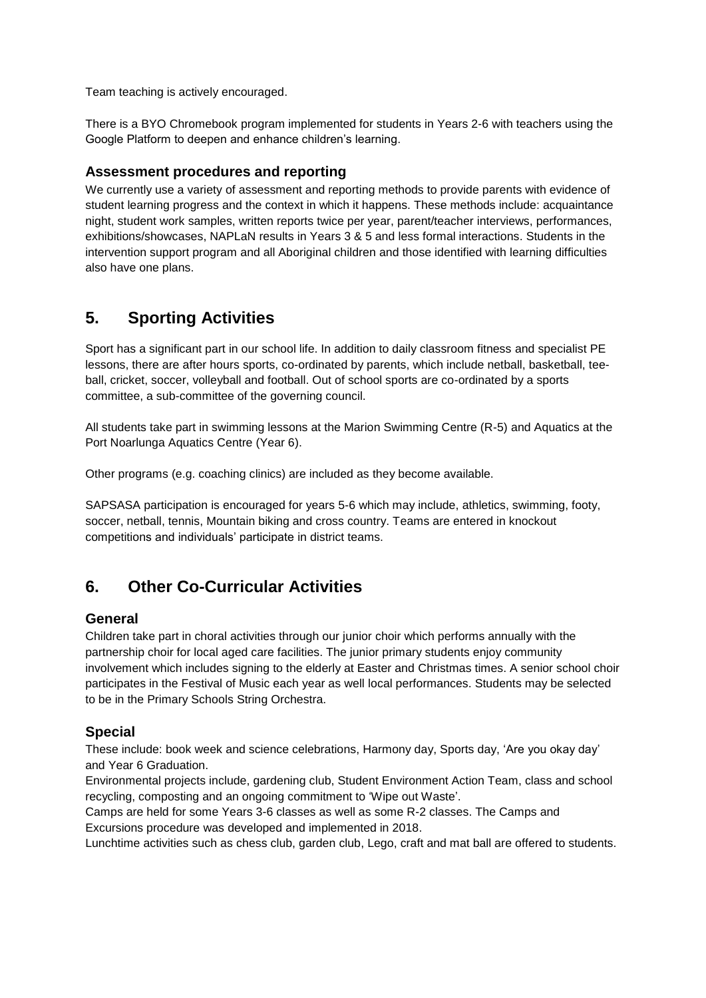Team teaching is actively encouraged.

There is a BYO Chromebook program implemented for students in Years 2-6 with teachers using the Google Platform to deepen and enhance children's learning.

#### **Assessment procedures and reporting**

We currently use a variety of assessment and reporting methods to provide parents with evidence of student learning progress and the context in which it happens. These methods include: acquaintance night, student work samples, written reports twice per year, parent/teacher interviews, performances, exhibitions/showcases, NAPLaN results in Years 3 & 5 and less formal interactions. Students in the intervention support program and all Aboriginal children and those identified with learning difficulties also have one plans.

# **5. Sporting Activities**

Sport has a significant part in our school life. In addition to daily classroom fitness and specialist PE lessons, there are after hours sports, co-ordinated by parents, which include netball, basketball, teeball, cricket, soccer, volleyball and football. Out of school sports are co-ordinated by a sports committee, a sub-committee of the governing council.

All students take part in swimming lessons at the Marion Swimming Centre (R-5) and Aquatics at the Port Noarlunga Aquatics Centre (Year 6).

Other programs (e.g. coaching clinics) are included as they become available.

SAPSASA participation is encouraged for years 5-6 which may include, athletics, swimming, footy, soccer, netball, tennis, Mountain biking and cross country. Teams are entered in knockout competitions and individuals' participate in district teams.

# **6. Other Co-Curricular Activities**

#### **General**

Children take part in choral activities through our junior choir which performs annually with the partnership choir for local aged care facilities. The junior primary students enjoy community involvement which includes signing to the elderly at Easter and Christmas times. A senior school choir participates in the Festival of Music each year as well local performances. Students may be selected to be in the Primary Schools String Orchestra.

### **Special**

These include: book week and science celebrations, Harmony day, Sports day, 'Are you okay day' and Year 6 Graduation.

Environmental projects include, gardening club, Student Environment Action Team, class and school recycling, composting and an ongoing commitment to 'Wipe out Waste'.

Camps are held for some Years 3-6 classes as well as some R-2 classes. The Camps and Excursions procedure was developed and implemented in 2018.

Lunchtime activities such as chess club, garden club, Lego, craft and mat ball are offered to students.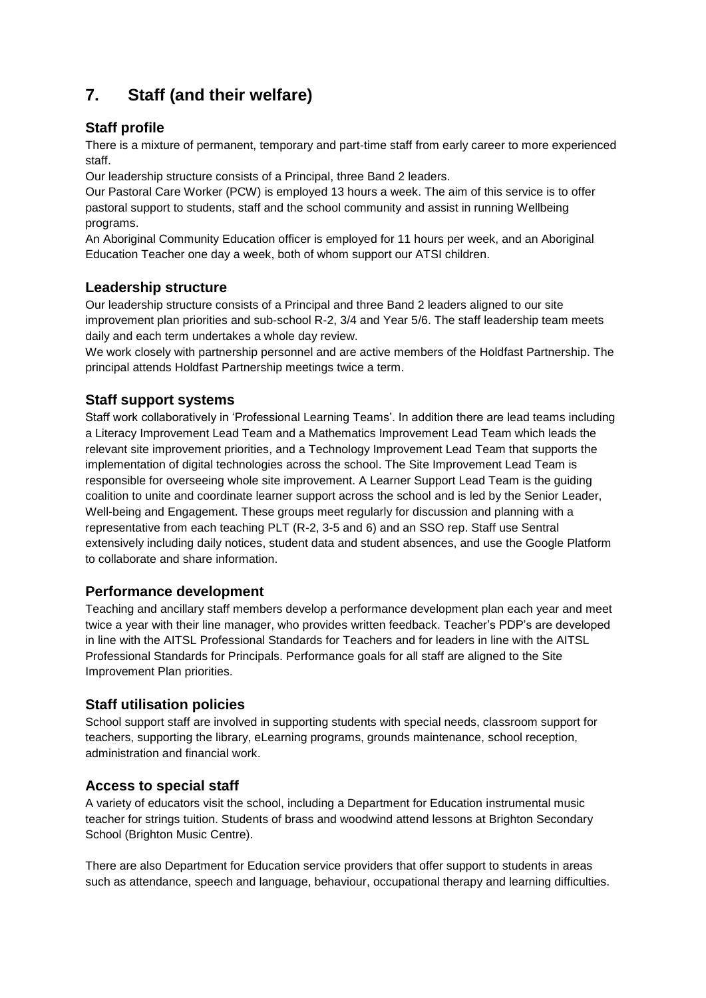# **7. Staff (and their welfare)**

### **Staff profile**

There is a mixture of permanent, temporary and part-time staff from early career to more experienced staff.

Our leadership structure consists of a Principal, three Band 2 leaders.

Our Pastoral Care Worker (PCW) is employed 13 hours a week. The aim of this service is to offer pastoral support to students, staff and the school community and assist in running Wellbeing programs.

An Aboriginal Community Education officer is employed for 11 hours per week, and an Aboriginal Education Teacher one day a week, both of whom support our ATSI children.

### **Leadership structure**

Our leadership structure consists of a Principal and three Band 2 leaders aligned to our site improvement plan priorities and sub-school R-2, 3/4 and Year 5/6. The staff leadership team meets daily and each term undertakes a whole day review.

We work closely with partnership personnel and are active members of the Holdfast Partnership. The principal attends Holdfast Partnership meetings twice a term.

### **Staff support systems**

Staff work collaboratively in 'Professional Learning Teams'. In addition there are lead teams including a Literacy Improvement Lead Team and a Mathematics Improvement Lead Team which leads the relevant site improvement priorities, and a Technology Improvement Lead Team that supports the implementation of digital technologies across the school. The Site Improvement Lead Team is responsible for overseeing whole site improvement. A Learner Support Lead Team is the guiding coalition to unite and coordinate learner support across the school and is led by the Senior Leader, Well-being and Engagement. These groups meet regularly for discussion and planning with a representative from each teaching PLT (R-2, 3-5 and 6) and an SSO rep. Staff use Sentral extensively including daily notices, student data and student absences, and use the Google Platform to collaborate and share information.

## **Performance development**

Teaching and ancillary staff members develop a performance development plan each year and meet twice a year with their line manager, who provides written feedback. Teacher's PDP's are developed in line with the AITSL Professional Standards for Teachers and for leaders in line with the AITSL Professional Standards for Principals. Performance goals for all staff are aligned to the Site Improvement Plan priorities.

### **Staff utilisation policies**

School support staff are involved in supporting students with special needs, classroom support for teachers, supporting the library, eLearning programs, grounds maintenance, school reception, administration and financial work.

### **Access to special staff**

A variety of educators visit the school, including a Department for Education instrumental music teacher for strings tuition. Students of brass and woodwind attend lessons at Brighton Secondary School (Brighton Music Centre).

There are also Department for Education service providers that offer support to students in areas such as attendance, speech and language, behaviour, occupational therapy and learning difficulties.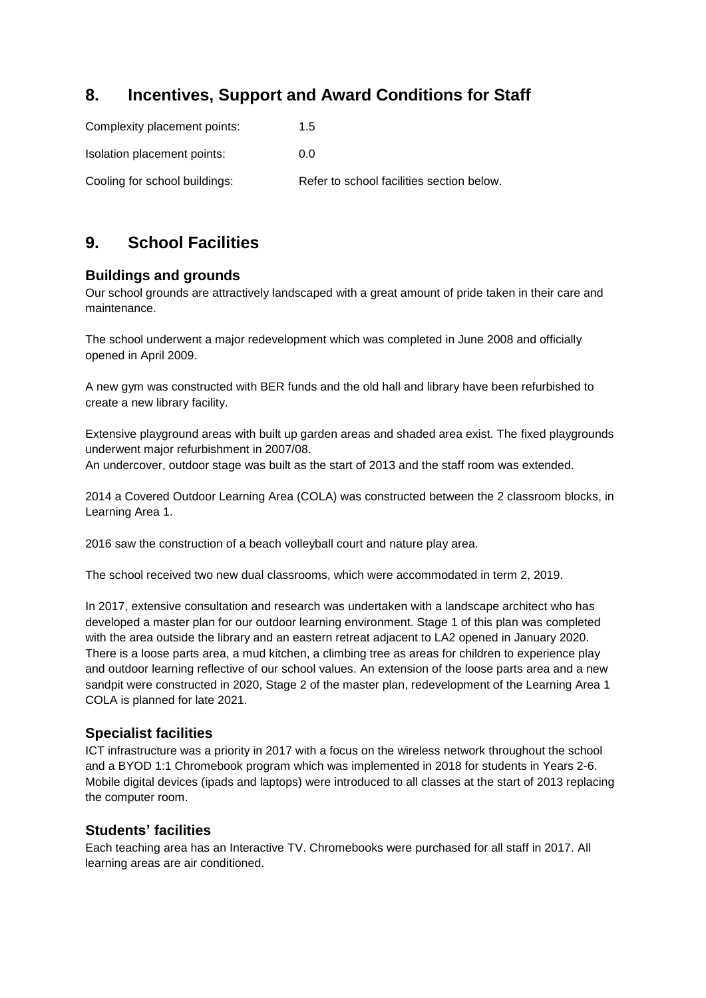# **8. Incentives, Support and Award Conditions for Staff**

| Complexity placement points:  | 1.5                                       |
|-------------------------------|-------------------------------------------|
| Isolation placement points:   | 0.0                                       |
| Cooling for school buildings: | Refer to school facilities section below. |

# **9. School Facilities**

### **Buildings and grounds**

Our school grounds are attractively landscaped with a great amount of pride taken in their care and maintenance.

The school underwent a major redevelopment which was completed in June 2008 and officially opened in April 2009.

A new gym was constructed with BER funds and the old hall and library have been refurbished to create a new library facility.

Extensive playground areas with built up garden areas and shaded area exist. The fixed playgrounds underwent major refurbishment in 2007/08.

An undercover, outdoor stage was built as the start of 2013 and the staff room was extended.

2014 a Covered Outdoor Learning Area (COLA) was constructed between the 2 classroom blocks, in Learning Area 1.

2016 saw the construction of a beach volleyball court and nature play area.

The school received two new dual classrooms, which were accommodated in term 2, 2019.

In 2017, extensive consultation and research was undertaken with a landscape architect who has developed a master plan for our outdoor learning environment. Stage 1 of this plan was completed with the area outside the library and an eastern retreat adjacent to LA2 opened in January 2020. There is a loose parts area, a mud kitchen, a climbing tree as areas for children to experience play and outdoor learning reflective of our school values. An extension of the loose parts area and a new sandpit were constructed in 2020, Stage 2 of the master plan, redevelopment of the Learning Area 1 COLA is planned for late 2021.

### **Specialist facilities**

ICT infrastructure was a priority in 2017 with a focus on the wireless network throughout the school and a BYOD 1:1 Chromebook program which was implemented in 2018 for students in Years 2-6. Mobile digital devices (ipads and laptops) were introduced to all classes at the start of 2013 replacing the computer room.

#### **Students' facilities**

Each teaching area has an Interactive TV. Chromebooks were purchased for all staff in 2017. All learning areas are air conditioned.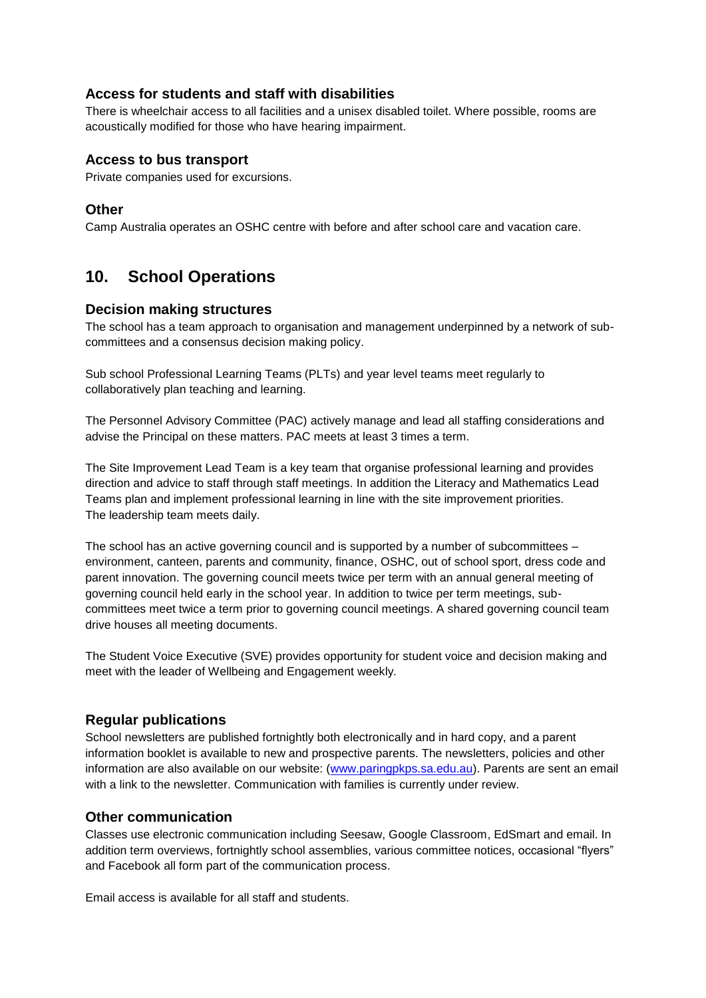#### **Access for students and staff with disabilities**

There is wheelchair access to all facilities and a unisex disabled toilet. Where possible, rooms are acoustically modified for those who have hearing impairment.

#### **Access to bus transport**

Private companies used for excursions.

#### **Other**

Camp Australia operates an OSHC centre with before and after school care and vacation care.

# **10. School Operations**

#### **Decision making structures**

The school has a team approach to organisation and management underpinned by a network of subcommittees and a consensus decision making policy.

Sub school Professional Learning Teams (PLTs) and year level teams meet regularly to collaboratively plan teaching and learning.

The Personnel Advisory Committee (PAC) actively manage and lead all staffing considerations and advise the Principal on these matters. PAC meets at least 3 times a term.

The Site Improvement Lead Team is a key team that organise professional learning and provides direction and advice to staff through staff meetings. In addition the Literacy and Mathematics Lead Teams plan and implement professional learning in line with the site improvement priorities. The leadership team meets daily.

The school has an active governing council and is supported by a number of subcommittees – environment, canteen, parents and community, finance, OSHC, out of school sport, dress code and parent innovation. The governing council meets twice per term with an annual general meeting of governing council held early in the school year. In addition to twice per term meetings, subcommittees meet twice a term prior to governing council meetings. A shared governing council team drive houses all meeting documents.

The Student Voice Executive (SVE) provides opportunity for student voice and decision making and meet with the leader of Wellbeing and Engagement weekly.

#### **Regular publications**

School newsletters are published fortnightly both electronically and in hard copy, and a parent information booklet is available to new and prospective parents. The newsletters, policies and other information are also available on our website: [\(www.paringpkps.sa.edu.au\)](http://www.paringpkps.sa.edu.au/). Parents are sent an email with a link to the newsletter. Communication with families is currently under review.

#### **Other communication**

Classes use electronic communication including Seesaw, Google Classroom, EdSmart and email. In addition term overviews, fortnightly school assemblies, various committee notices, occasional "flyers" and Facebook all form part of the communication process.

Email access is available for all staff and students.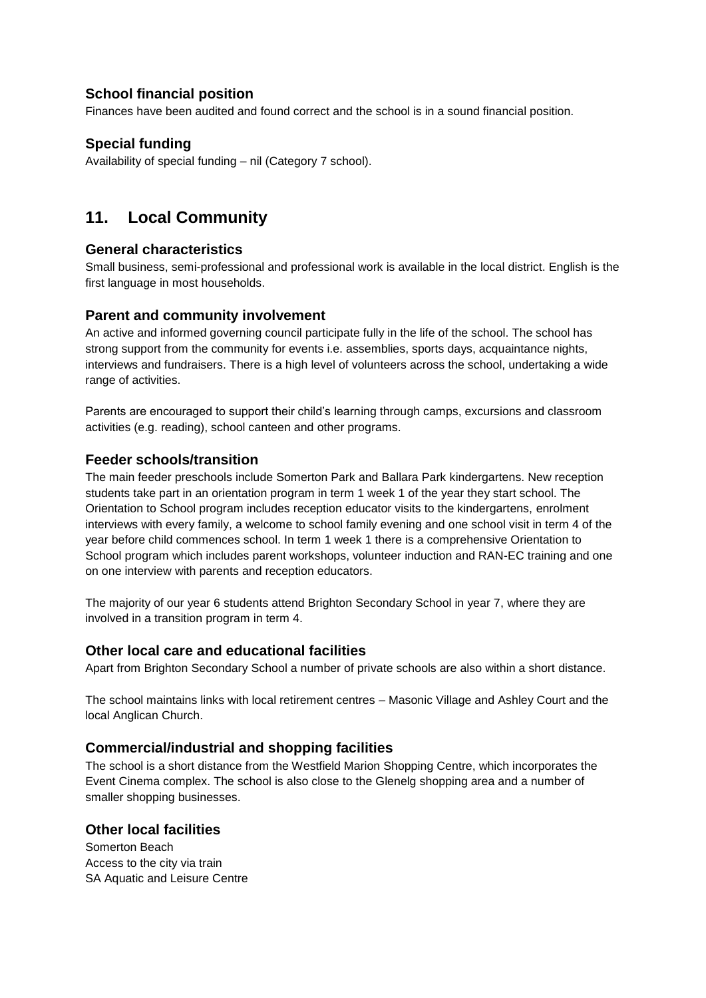### **School financial position**

Finances have been audited and found correct and the school is in a sound financial position.

### **Special funding**

Availability of special funding – nil (Category 7 school).

# **11. Local Community**

#### **General characteristics**

Small business, semi-professional and professional work is available in the local district. English is the first language in most households.

#### **Parent and community involvement**

An active and informed governing council participate fully in the life of the school. The school has strong support from the community for events i.e. assemblies, sports days, acquaintance nights, interviews and fundraisers. There is a high level of volunteers across the school, undertaking a wide range of activities.

Parents are encouraged to support their child's learning through camps, excursions and classroom activities (e.g. reading), school canteen and other programs.

#### **Feeder schools/transition**

The main feeder preschools include Somerton Park and Ballara Park kindergartens. New reception students take part in an orientation program in term 1 week 1 of the year they start school. The Orientation to School program includes reception educator visits to the kindergartens, enrolment interviews with every family, a welcome to school family evening and one school visit in term 4 of the year before child commences school. In term 1 week 1 there is a comprehensive Orientation to School program which includes parent workshops, volunteer induction and RAN-EC training and one on one interview with parents and reception educators.

The majority of our year 6 students attend Brighton Secondary School in year 7, where they are involved in a transition program in term 4.

#### **Other local care and educational facilities**

Apart from Brighton Secondary School a number of private schools are also within a short distance.

The school maintains links with local retirement centres – Masonic Village and Ashley Court and the local Anglican Church.

#### **Commercial/industrial and shopping facilities**

The school is a short distance from the Westfield Marion Shopping Centre, which incorporates the Event Cinema complex. The school is also close to the Glenelg shopping area and a number of smaller shopping businesses.

#### **Other local facilities**

Somerton Beach Access to the city via train SA Aquatic and Leisure Centre